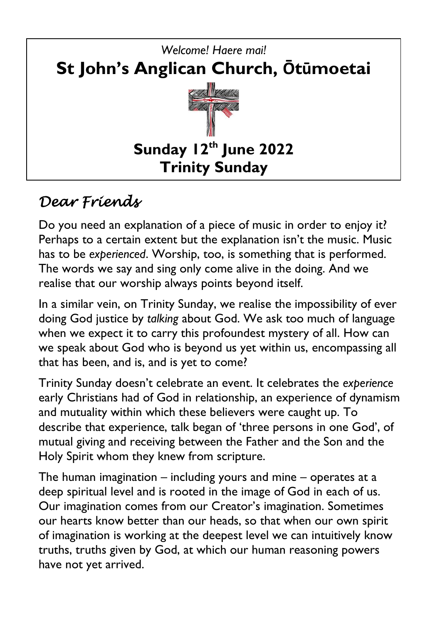

# *Dear Friends*

Do you need an explanation of a piece of music in order to enjoy it? Perhaps to a certain extent but the explanation isn't the music. Music has to be *experienced*. Worship, too, is something that is performed. The words we say and sing only come alive in the doing. And we realise that our worship always points beyond itself.

In a similar vein, on Trinity Sunday, we realise the impossibility of ever doing God justice by *talking* about God. We ask too much of language when we expect it to carry this profoundest mystery of all. How can we speak about God who is beyond us yet within us, encompassing all that has been, and is, and is yet to come?

Trinity Sunday doesn't celebrate an event. It celebrates the *experience*  early Christians had of God in relationship, an experience of dynamism and mutuality within which these believers were caught up. To describe that experience, talk began of 'three persons in one God', of mutual giving and receiving between the Father and the Son and the Holy Spirit whom they knew from scripture.

The human imagination – including yours and mine – operates at a deep spiritual level and is rooted in the image of God in each of us. Our imagination comes from our Creator's imagination. Sometimes our hearts know better than our heads, so that when our own spirit of imagination is working at the deepest level we can intuitively know truths, truths given by God, at which our human reasoning powers have not yet arrived.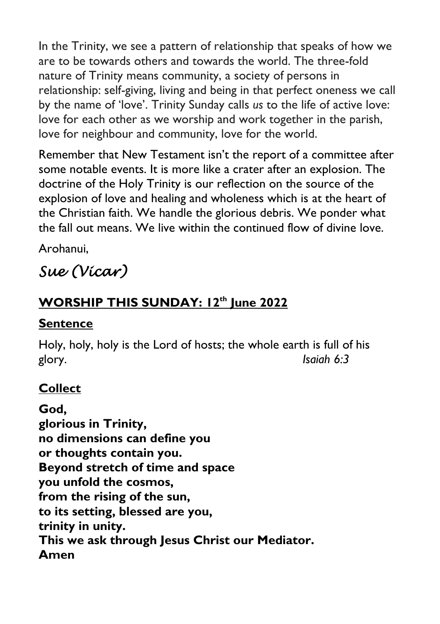In the Trinity, we see a pattern of relationship that speaks of how we are to be towards others and towards the world. The three-fold nature of Trinity means community, a society of persons in relationship: self-giving, living and being in that perfect oneness we call by the name of 'love'. Trinity Sunday calls *us* to the life of active love: love for each other as we worship and work together in the parish, love for neighbour and community, love for the world.

Remember that New Testament isn't the report of a committee after some notable events. It is more like a crater after an explosion. The doctrine of the Holy Trinity is our reflection on the source of the explosion of love and healing and wholeness which is at the heart of the Christian faith. We handle the glorious debris. We ponder what the fall out means. We live within the continued flow of divine love.

Arohanui,

# *Sue (Vicar)*

## **WORSHIP THIS SUNDAY: 12th June 2022**

#### **Sentence**

Holy, holy, holy is the Lord of hosts; the whole earth is full of his glory. *Isaiah 6:3*

### **Collect**

**God, glorious in Trinity, no dimensions can define you or thoughts contain you. Beyond stretch of time and space you unfold the cosmos, from the rising of the sun, to its setting, blessed are you, trinity in unity. This we ask through Jesus Christ our Mediator. Amen**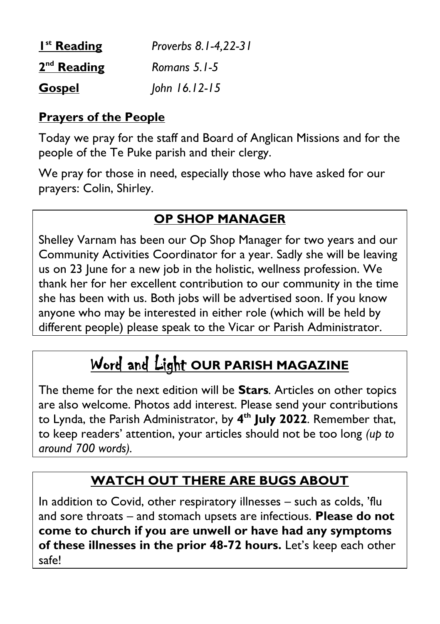| $Ist$ Reading | Proverbs 8.1-4,22-31 |
|---------------|----------------------|
| $2nd$ Reading | Romans 5.1-5         |
| <b>Gospel</b> | John 16.12-15        |

#### **Prayers of the People**

Today we pray for the staff and Board of Anglican Missions and for the people of the Te Puke parish and their clergy.

We pray for those in need, especially those who have asked for our prayers: Colin, Shirley.

### **OP SHOP MANAGER**

Shelley Varnam has been our Op Shop Manager for two years and our Community Activities Coordinator for a year. Sadly she will be leaving us on 23 June for a new job in the holistic, wellness profession. We thank her for her excellent contribution to our community in the time she has been with us. Both jobs will be advertised soon. If you know anyone who may be interested in either role (which will be held by different people) please speak to the Vicar or Parish Administrator.

# Word and Light **OUR PARISH MAGAZINE**

The theme for the next edition will be **Stars***.* Articles on other topics are also welcome. Photos add interest. Please send your contributions to Lynda, the Parish Administrator, by **4 th July 2022**. Remember that, to keep readers' attention, your articles should not be too long *(up to around 700 words).*

## **WATCH OUT THERE ARE BUGS ABOUT**

In addition to Covid, other respiratory illnesses – such as colds, 'flu and sore throats – and stomach upsets are infectious. **Please do not come to church if you are unwell or have had any symptoms of these illnesses in the prior 48-72 hours.** Let's keep each other safe!